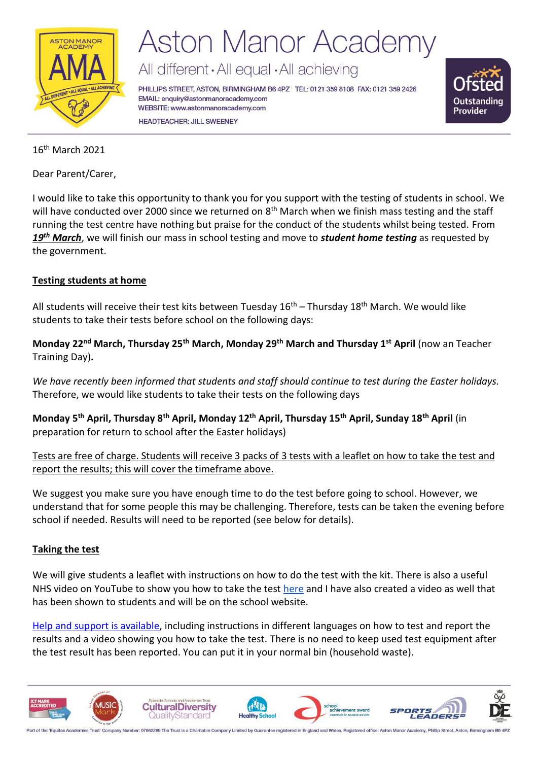

All different · All equal · All achieving

PHILLIPS STREET, ASTON, BIRMINGHAM B6 4PZ TEL: 0121 359 8108 FAX: 0121 359 2426 EMAIL: enquiry@astonmanoracademy.com WEBSITE: www.astonmanoracademy.com **HEADTEACHER: JILL SWEENEY** 



#### 16th March 2021

Dear Parent/Carer,

I would like to take this opportunity to thank you for you support with the testing of students in school. We will have conducted over 2000 since we returned on 8<sup>th</sup> March when we finish mass testing and the staff running the test centre have nothing but praise for the conduct of the students whilst being tested. From *19th March*, we will finish our mass in school testing and move to *student home testing* as requested by the government.

#### **Testing students at home**

All students will receive their test kits between Tuesday 16<sup>th</sup> – Thursday 18<sup>th</sup> March. We would like students to take their tests before school on the following days:

**Monday 22nd March, Thursday 25th March, Monday 29th March and Thursday 1st April** (now an Teacher Training Day)**.**

*We have recently been informed that students and staff should continue to test during the Easter holidays.* Therefore, we would like students to take their tests on the following days

**Monday 5th April, Thursday 8th April, Monday 12th April, Thursday 15th April, Sunday 18th April** (in preparation for return to school after the Easter holidays)

Tests are free of charge. Students will receive 3 packs of 3 tests with a leaflet on how to take the test and report the results; this will cover the timeframe above.

We suggest you make sure you have enough time to do the test before going to school. However, we understand that for some people this may be challenging. Therefore, tests can be taken the evening before school if needed. Results will need to be reported (see below for details).

#### **Taking the test**

We will give students a leaflet with instructions on how to do the test with the kit. There is also a useful NHS video on YouTube to show you how to take the test [here](https://www.youtube.com/watch?v=S9XR8RZxKNo&list=PLvaBZskxS7tzQYlVg7lwH5uxAD9UrSzGJ&index=1) and I have also created a video as well that has been shown to students and will be on the school website.

[Help and support is available,](https://www.gov.uk/guidance/covid-19-self-test-help) including instructions in different languages on how to test and report the results and a video showing you how to take the test. There is no need to keep used test equipment after the test result has been reported. You can put it in your normal bin (household waste).

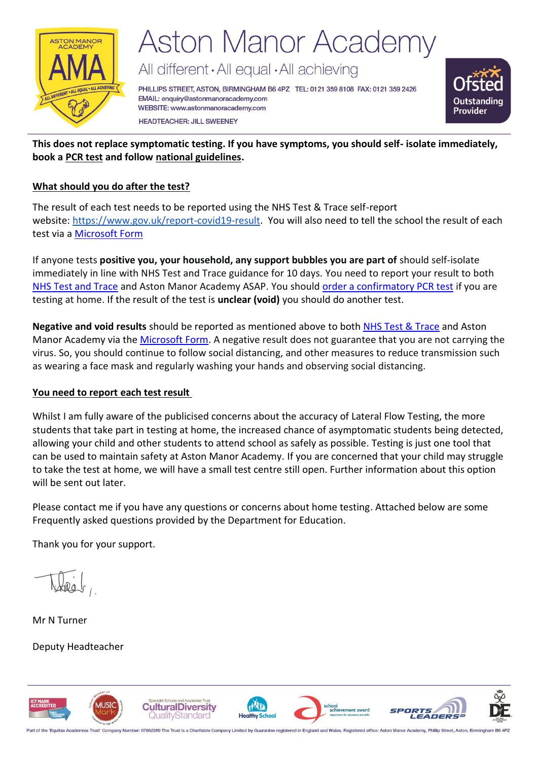

All different · All equal · All achieving

PHILLIPS STREET, ASTON, BIRMINGHAM B6 4PZ TEL: 0121 359 8108 FAX: 0121 359 2426 EMAIL: enquiry@astonmanoracademy.com WEBSITE: www.astonmanoracademy.com **HEADTEACHER: JILL SWEENEY** 



**This does not replace symptomatic testing. If you have symptoms, you should self- isolate immediately, book a [PCR test](https://www.gov.uk/get-coronavirus-test%22%20/t%20%22_blank) and follow [national guidelines.](https://www.nhs.uk/conditions/coronavirus-covid-19/symptoms/%22%20/t%20%22_blank)** 

#### **What should you do after the test?**

The result of each test needs to be reported using the NHS Test & Trace self-report website: [https://www.gov.uk/report-covid19-result.](https://www.gov.uk/report-covid19-result) You will also need to tell the school the result of each test via a [Microsoft Form](https://forms.office.com/r/9KEbMWynTK)

If anyone tests **positive you, your household, any support bubbles you are part of** should self-isolate immediately in line with NHS Test and Trace guidance for 10 days. You need to report your result to both [NHS Test and Trace](https://www.gov.uk/report-covid19-result) and Aston Manor Academy ASAP. You shoul[d order a confirmatory PCR test](https://www.gov.uk/get-coronavirus-test) if you are testing at home. If the result of the test is **unclear (void)** you should do another test.

**Negative and void results** should be reported as mentioned above to both [NHS Test & Trace](https://www.gov.uk/report-covid19-result) and Aston Manor Academy via the [Microsoft Form.](https://forms.office.com/r/9KEbMWynTK) A negative result does not guarantee that you are not carrying the virus. So, you should continue to follow social distancing, and other measures to reduce transmission such as wearing a face mask and regularly washing your hands and observing social distancing.

#### **You need to report each test result**

Whilst I am fully aware of the publicised concerns about the accuracy of Lateral Flow Testing, the more students that take part in testing at home, the increased chance of asymptomatic students being detected, allowing your child and other students to attend school as safely as possible. Testing is just one tool that can be used to maintain safety at Aston Manor Academy. If you are concerned that your child may struggle to take the test at home, we will have a small test centre still open. Further information about this option will be sent out later.

Please contact me if you have any questions or concerns about home testing. Attached below are some Frequently asked questions provided by the Department for Education.

Thank you for your support.

Mr N Turner

Deputy Headteacher



Part of the 'Equitas Academies Trust' Company Number: 07662289 The Trust is a Charitable Company Limited by Guarantee registered in England and Wales. Registered office: Aston Manor Academy, Phillip Street, Aston, Birming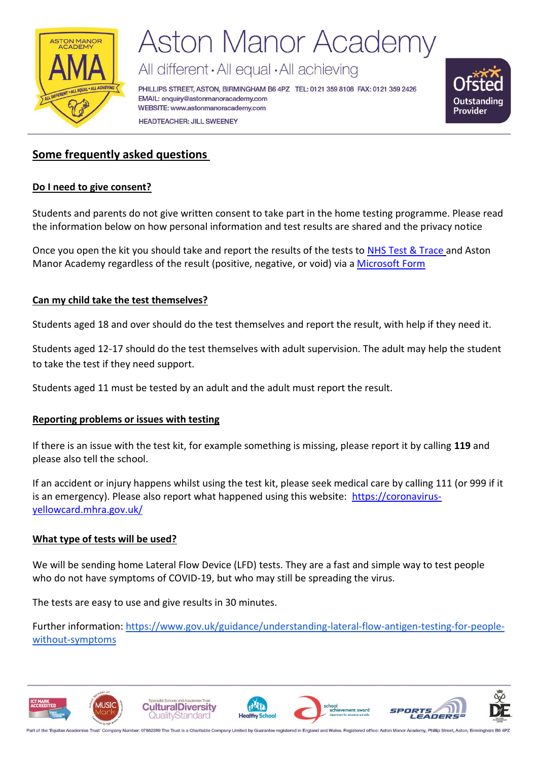

All different · All equal · All achieving

PHILLIPS STREET, ASTON, BIRMINGHAM B6 4PZ TEL: 0121 359 8108 FAX: 0121 359 2426 EMAIL: enquiry@astonmanoracademy.com WEBSITE: www.astonmanoracademy.com **HEADTEACHER: JILL SWEENEY** 



#### **Some frequently asked questions**

#### **Do I need to give consent?**

Students and parents do not give written consent to take part in the home testing programme. Please read the information below on how personal information and test results are shared and the privacy notice

Once you open the kit you should take and report the results of the tests to [NHS Test & Trace](https://www.gov.uk/report-covid19-result) and Aston Manor Academy regardless of the result (positive, negative, or void) via a [Microsoft Form](https://forms.office.com/r/9KEbMWynTK)

#### **Can my child take the test themselves?**

Students aged 18 and over should do the test themselves and report the result, with help if they need it.

Students aged 12-17 should do the test themselves with adult supervision. The adult may help the student to take the test if they need support.

Students aged 11 must be tested by an adult and the adult must report the result.

#### **Reporting problems or issues with testing**

If there is an issue with the test kit, for example something is missing, please report it by calling **119** and please also tell the school.

If an accident or injury happens whilst using the test kit, please seek medical care by calling 111 (or 999 if it is an emergency). Please also report what happened using this website: [https://coronavirus](https://coronavirus-yellowcard.mhra.gov.uk/)[yellowcard.mhra.gov.uk/](https://coronavirus-yellowcard.mhra.gov.uk/) 

#### **What type of tests will be used?**

We will be sending home Lateral Flow Device (LFD) tests. They are a fast and simple way to test people who do not have symptoms of COVID-19, but who may still be spreading the virus.

The tests are easy to use and give results in 30 minutes.

Further information: [https://www.gov.uk/guidance/understanding-lateral-flow-antigen-testing-for-people](https://www.gov.uk/guidance/understanding-lateral-flow-antigen-testing-for-people-without-symptoms)[without-symptoms](https://www.gov.uk/guidance/understanding-lateral-flow-antigen-testing-for-people-without-symptoms)

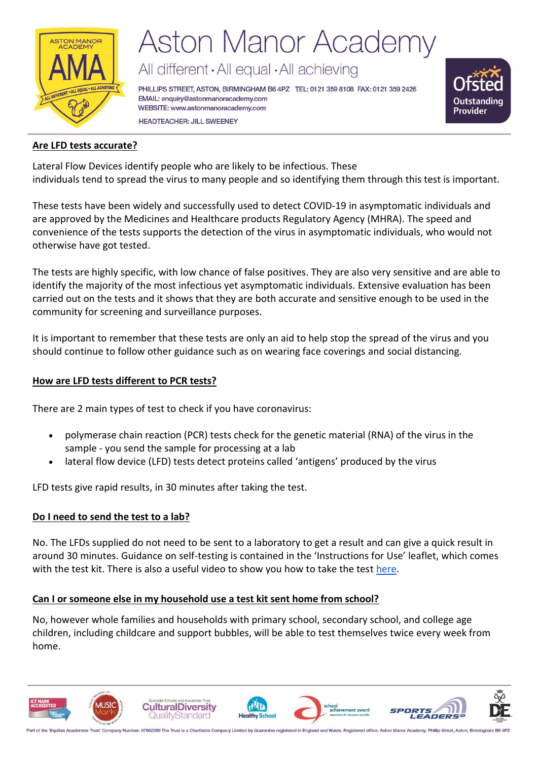

All different · All equal · All achieving

PHILLIPS STREET, ASTON, BIRMINGHAM B6 4PZ TEL: 0121 359 8108 FAX: 0121 359 2426 EMAIL: enquiry@astonmanoracademy.com WEBSITE: www.astonmanoracademy.com **HEADTEACHER: JILL SWEENEY** 



#### **Are LFD tests accurate?**

Lateral Flow Devices identify people who are likely to be infectious. These  individuals tend to spread the virus to many people and so identifying them through this test is important. 

These tests have been widely and successfully used to detect COVID-19 in asymptomatic individuals and are approved by the Medicines and Healthcare products Regulatory Agency (MHRA). The speed and convenience of the tests supports the detection of the virus in asymptomatic individuals, who would not otherwise have got tested.

The tests are highly specific, with low chance of false positives. They are also very sensitive and are able to identify the majority of the most infectious yet asymptomatic individuals. Extensive evaluation has been carried out on the tests and it shows that they are both accurate and sensitive enough to be used in the community for screening and surveillance purposes. 

It is important to remember that these tests are only an aid to help stop the spread of the virus and you should continue to follow other guidance such as on wearing face coverings and social distancing. 

#### **How are LFD tests different to PCR tests?**

There are 2 main types of test to check if you have coronavirus:

- polymerase chain reaction (PCR) tests check for the genetic material (RNA) of the virus in the sample - you send the sample for processing at a lab
- lateral flow device (LFD) tests detect proteins called 'antigens' produced by the virus

LFD tests give rapid results, in 30 minutes after taking the test.

#### **Do I need to send the test to a lab?**

No. The LFDs supplied do not need to be sent to a laboratory to get a result and can give a quick result in around 30 minutes. Guidance on self-testing is contained in the 'Instructions for Use' leaflet, which comes with the test kit. There is also a useful video to show you how to take the test [here.](https://www.youtube.com/watch?v=S9XR8RZxKNo&list=PLvaBZskxS7tzQYlVg7lwH5uxAD9UrSzGJ&index=1)

#### **Can I or someone else in my household use a test kit sent home from school?**

No, however whole families and households with primary school, secondary school, and college age children, including childcare and support bubbles, will be able to test themselves twice every week from home.